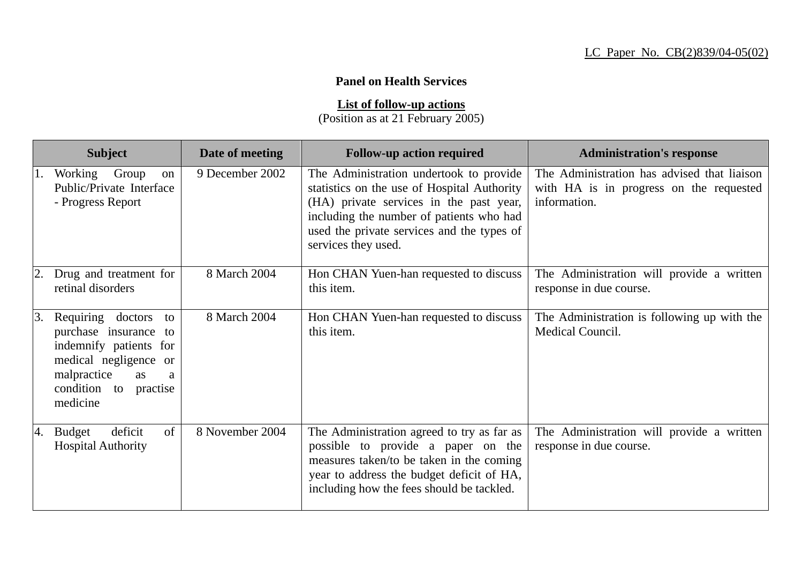## **Panel on Health Services**

**List of follow-up actions**

(Position as at 21 February 2005)

|    | <b>Subject</b>                                                                                                                                                            | Date of meeting | <b>Follow-up action required</b>                                                                                                                                                                                                                   | <b>Administration's response</b>                                                                       |
|----|---------------------------------------------------------------------------------------------------------------------------------------------------------------------------|-----------------|----------------------------------------------------------------------------------------------------------------------------------------------------------------------------------------------------------------------------------------------------|--------------------------------------------------------------------------------------------------------|
|    | Working Group<br>on<br>Public/Private Interface<br>- Progress Report                                                                                                      | 9 December 2002 | The Administration undertook to provide<br>statistics on the use of Hospital Authority<br>(HA) private services in the past year,<br>including the number of patients who had<br>used the private services and the types of<br>services they used. | The Administration has advised that liaison<br>with HA is in progress on the requested<br>information. |
|    | Drug and treatment for<br>retinal disorders                                                                                                                               | 8 March 2004    | Hon CHAN Yuen-han requested to discuss<br>this item.                                                                                                                                                                                               | The Administration will provide a written<br>response in due course.                                   |
| 3. | Requiring doctors<br>to<br>purchase insurance to<br>indemnify patients for<br>medical negligence or<br>malpractice<br><b>as</b><br>a<br>condition to practise<br>medicine | 8 March 2004    | Hon CHAN Yuen-han requested to discuss<br>this item.                                                                                                                                                                                               | The Administration is following up with the<br>Medical Council.                                        |
| 4. | of<br>deficit<br><b>Budget</b><br><b>Hospital Authority</b>                                                                                                               | 8 November 2004 | The Administration agreed to try as far as<br>possible to provide a paper on the<br>measures taken/to be taken in the coming<br>year to address the budget deficit of HA,<br>including how the fees should be tackled.                             | The Administration will provide a written<br>response in due course.                                   |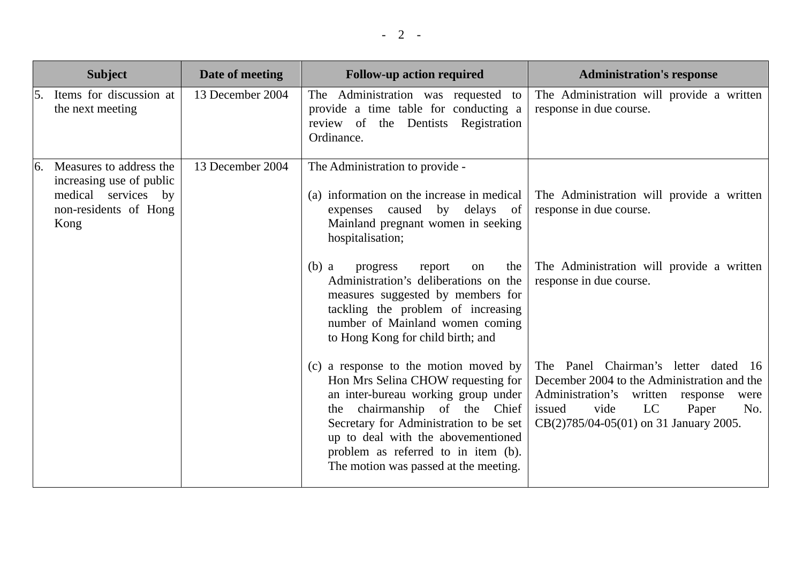|                  | <b>Subject</b>                                                                                              | Date of meeting  | <b>Follow-up action required</b>                                                                                                                                                                                                                                                                                    | <b>Administration's response</b>                                                                                                                                                                                   |
|------------------|-------------------------------------------------------------------------------------------------------------|------------------|---------------------------------------------------------------------------------------------------------------------------------------------------------------------------------------------------------------------------------------------------------------------------------------------------------------------|--------------------------------------------------------------------------------------------------------------------------------------------------------------------------------------------------------------------|
| <sup>15.</sup>   | Items for discussion at<br>the next meeting                                                                 | 13 December 2004 | The Administration was requested to<br>provide a time table for conducting a<br>review of the Dentists Registration<br>Ordinance.                                                                                                                                                                                   | The Administration will provide a written<br>response in due course.                                                                                                                                               |
| $\overline{6}$ . | Measures to address the<br>increasing use of public<br>medical services by<br>non-residents of Hong<br>Kong | 13 December 2004 | The Administration to provide -<br>(a) information on the increase in medical<br>by delays of<br>caused<br>expenses<br>Mainland pregnant women in seeking<br>hospitalisation;                                                                                                                                       | The Administration will provide a written<br>response in due course.                                                                                                                                               |
|                  |                                                                                                             |                  | the<br>$(b)$ a<br>progress<br>report<br>on<br>Administration's deliberations on the<br>measures suggested by members for<br>tackling the problem of increasing<br>number of Mainland women coming<br>to Hong Kong for child birth; and                                                                              | The Administration will provide a written<br>response in due course.                                                                                                                                               |
|                  |                                                                                                             |                  | (c) a response to the motion moved by<br>Hon Mrs Selina CHOW requesting for<br>an inter-bureau working group under<br>the chairmanship of the Chief<br>Secretary for Administration to be set<br>up to deal with the abovementioned<br>problem as referred to in item (b).<br>The motion was passed at the meeting. | The Panel Chairman's letter dated 16<br>December 2004 to the Administration and the<br>Administration's written response<br>were<br>vide<br>LC<br>Paper<br>No.<br>issued<br>CB(2)785/04-05(01) on 31 January 2005. |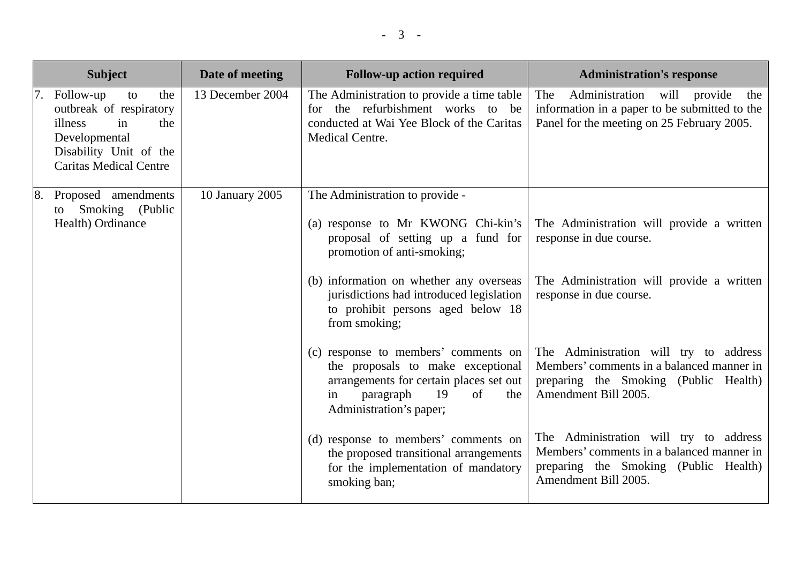|    | <b>Subject</b>                                                                                                                                        | Date of meeting  | <b>Follow-up action required</b>                                                                                                                                                      | <b>Administration's response</b>                                                                                                                     |
|----|-------------------------------------------------------------------------------------------------------------------------------------------------------|------------------|---------------------------------------------------------------------------------------------------------------------------------------------------------------------------------------|------------------------------------------------------------------------------------------------------------------------------------------------------|
| 7. | Follow-up<br>to<br>the<br>outbreak of respiratory<br>illness<br>in<br>the<br>Developmental<br>Disability Unit of the<br><b>Caritas Medical Centre</b> | 13 December 2004 | The Administration to provide a time table<br>for the refurbishment works to be<br>conducted at Wai Yee Block of the Caritas<br>Medical Centre.                                       | Administration will provide<br>The<br>the<br>information in a paper to be submitted to the<br>Panel for the meeting on 25 February 2005.             |
|    | 8.<br>Proposed amendments<br>to Smoking (Public<br>Health) Ordinance                                                                                  | 10 January 2005  | The Administration to provide -<br>(a) response to Mr KWONG Chi-kin's<br>proposal of setting up a fund for<br>promotion of anti-smoking;                                              | The Administration will provide a written<br>response in due course.                                                                                 |
|    |                                                                                                                                                       |                  | (b) information on whether any overseas<br>jurisdictions had introduced legislation<br>to prohibit persons aged below 18<br>from smoking;                                             | The Administration will provide a written<br>response in due course.                                                                                 |
|    |                                                                                                                                                       |                  | (c) response to members' comments on<br>the proposals to make exceptional<br>arrangements for certain places set out<br>19<br>paragraph<br>of<br>the<br>in<br>Administration's paper; | The Administration will try to address<br>Members' comments in a balanced manner in<br>preparing the Smoking (Public Health)<br>Amendment Bill 2005. |
|    |                                                                                                                                                       |                  | (d) response to members' comments on<br>the proposed transitional arrangements<br>for the implementation of mandatory<br>smoking ban;                                                 | The Administration will try to address<br>Members' comments in a balanced manner in<br>preparing the Smoking (Public Health)<br>Amendment Bill 2005. |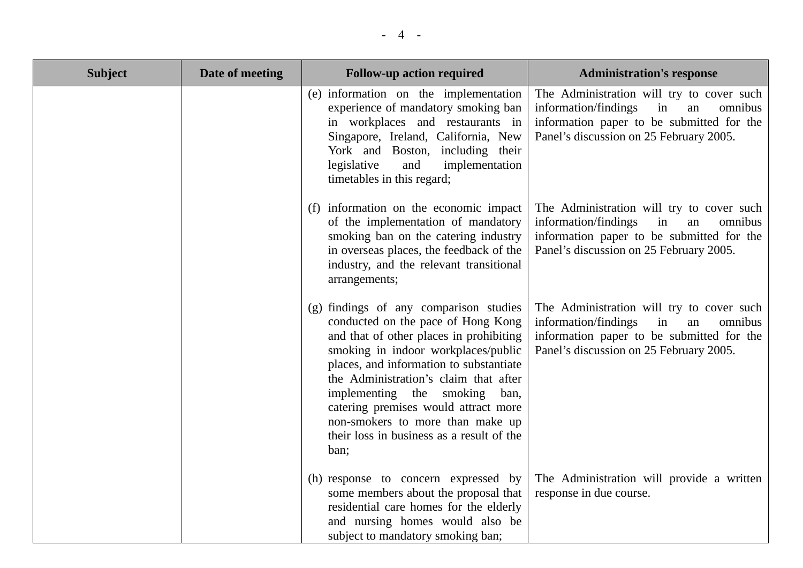| <b>Subject</b> | Date of meeting | <b>Follow-up action required</b>                                                                                                                                                                                                                                                                                                                                                                                     | <b>Administration's response</b>                                                                                                                                                 |
|----------------|-----------------|----------------------------------------------------------------------------------------------------------------------------------------------------------------------------------------------------------------------------------------------------------------------------------------------------------------------------------------------------------------------------------------------------------------------|----------------------------------------------------------------------------------------------------------------------------------------------------------------------------------|
|                |                 | (e) information on the implementation<br>experience of mandatory smoking ban<br>in workplaces and restaurants in<br>Singapore, Ireland, California, New<br>York and Boston, including their<br>legislative<br>and<br>implementation<br>timetables in this regard;                                                                                                                                                    | The Administration will try to cover such<br>information/findings<br>in<br>omnibus<br>an<br>information paper to be submitted for the<br>Panel's discussion on 25 February 2005. |
|                |                 | (f) information on the economic impact<br>of the implementation of mandatory<br>smoking ban on the catering industry<br>in overseas places, the feedback of the<br>industry, and the relevant transitional<br>arrangements;                                                                                                                                                                                          | The Administration will try to cover such<br>information/findings<br>in<br>omnibus<br>an<br>information paper to be submitted for the<br>Panel's discussion on 25 February 2005. |
|                |                 | (g) findings of any comparison studies<br>conducted on the pace of Hong Kong<br>and that of other places in prohibiting<br>smoking in indoor workplaces/public<br>places, and information to substantiate<br>the Administration's claim that after<br>implementing the smoking ban,<br>catering premises would attract more<br>non-smokers to more than make up<br>their loss in business as a result of the<br>ban; | The Administration will try to cover such<br>information/findings<br>in<br>omnibus<br>an<br>information paper to be submitted for the<br>Panel's discussion on 25 February 2005. |
|                |                 | (h) response to concern expressed by<br>some members about the proposal that<br>residential care homes for the elderly<br>and nursing homes would also be<br>subject to mandatory smoking ban;                                                                                                                                                                                                                       | The Administration will provide a written<br>response in due course.                                                                                                             |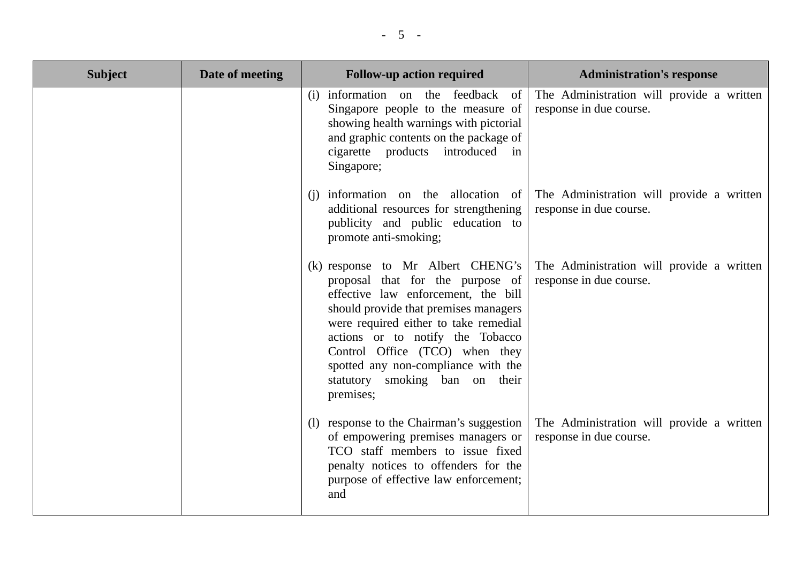| <b>Subject</b> | Date of meeting | <b>Follow-up action required</b>                                                                                                                                                                                                                                                                                                                              | <b>Administration's response</b>                                     |
|----------------|-----------------|---------------------------------------------------------------------------------------------------------------------------------------------------------------------------------------------------------------------------------------------------------------------------------------------------------------------------------------------------------------|----------------------------------------------------------------------|
|                |                 | (i) information on the feedback<br><sub>of</sub><br>Singapore people to the measure of<br>showing health warnings with pictorial<br>and graphic contents on the package of<br>cigarette products introduced in<br>Singapore;                                                                                                                                  | The Administration will provide a written<br>response in due course. |
|                |                 | (i) information on the allocation of<br>additional resources for strengthening<br>publicity and public education to<br>promote anti-smoking;                                                                                                                                                                                                                  | The Administration will provide a written<br>response in due course. |
|                |                 | (k) response to Mr Albert CHENG's<br>proposal that for the purpose of<br>effective law enforcement, the bill<br>should provide that premises managers<br>were required either to take remedial<br>actions or to notify the Tobacco<br>Control Office (TCO) when they<br>spotted any non-compliance with the<br>statutory smoking ban on<br>their<br>premises; | The Administration will provide a written<br>response in due course. |
|                |                 | (1) response to the Chairman's suggestion<br>of empowering premises managers or<br>TCO staff members to issue fixed<br>penalty notices to offenders for the<br>purpose of effective law enforcement;<br>and                                                                                                                                                   | The Administration will provide a written<br>response in due course. |